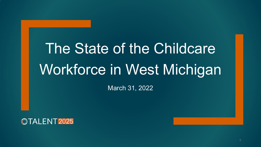# The State of the Childcare Workforce in West Michigan

March 31, 2022

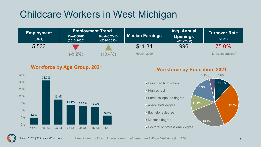## Childcare Workers in West Michigan







#### **Workforce by Education, 2021**



Talent 2025 | Childcare Workforce 2 *Emsi Burning Glass, Occupational Employment and Wage Statistics (OEWS)*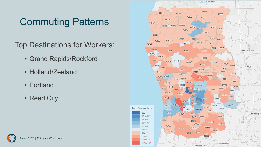## Commuting Patterns

Top Destinations for Workers:

- Grand Rapids/Rockford
- Holland/Zeeland
- Portland
- Reed City



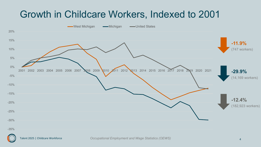#### Growth in Childcare Workers, Indexed to 2001

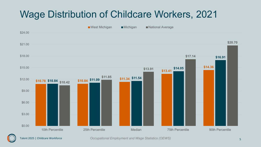## Wage Distribution of Childcare Workers, 2021



Talent 2025 | Childcare Workforce 5 *Occupational Employment and Wage Statistics (OEWS)*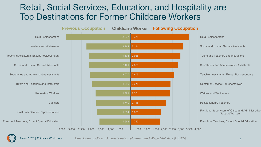#### Retail, Social Services, Education, and Hospitality are Top Destinations for Former Childcare Workers



Talent 2025 | Childcare Workforce 6 *Emsi Burning Glass, Occupational Employment and Wage Statistics (OEWS)*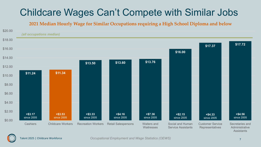## Childcare Wages Can't Compete with Similar Jobs

**2021 Median Hourly Wage for Similar Occupations requiring a High School Diploma and below**



Talent 2025 | Childcare Workforce 7 *Occupational Employment and Wage Statistics (OEWS)*